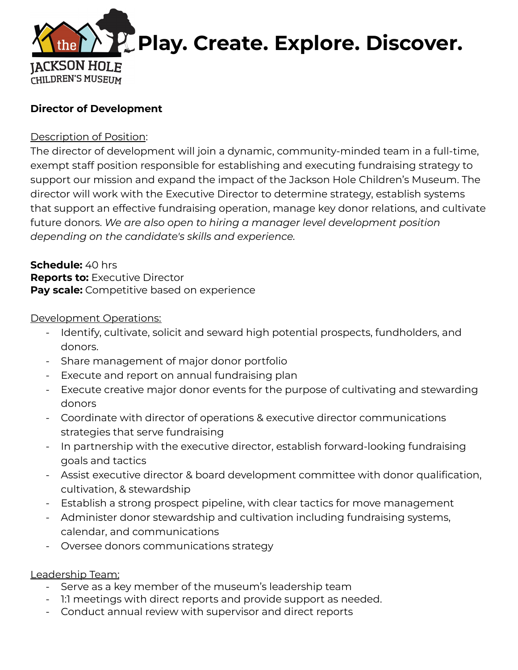

# **Director of Development**

### Description of Position:

The director of development will join a dynamic, community-minded team in a full-time, exempt staff position responsible for establishing and executing fundraising strategy to support our mission and expand the impact of the Jackson Hole Children's Museum. The director will work with the Executive Director to determine strategy, establish systems that support an effective fundraising operation, manage key donor relations, and cultivate future donors. *We are also open to hiring a manager level development position depending on the candidate's skills and experience.*

**Schedule:** 40 hrs **Reports to:** Executive Director **Pay scale:** Competitive based on experience

#### Development Operations:

- Identify, cultivate, solicit and seward high potential prospects, fundholders, and donors.
- Share management of major donor portfolio
- Execute and report on annual fundraising plan
- Execute creative major donor events for the purpose of cultivating and stewarding donors
- Coordinate with director of operations & executive director communications strategies that serve fundraising
- In partnership with the executive director, establish forward-looking fundraising goals and tactics
- Assist executive director & board development committee with donor qualification, cultivation, & stewardship
- Establish a strong prospect pipeline, with clear tactics for move management
- Administer donor stewardship and cultivation including fundraising systems, calendar, and communications
- Oversee donors communications strategy

# Leadership Team:

- Serve as a key member of the museum's leadership team
- 1:1 meetings with direct reports and provide support as needed.
- Conduct annual review with supervisor and direct reports